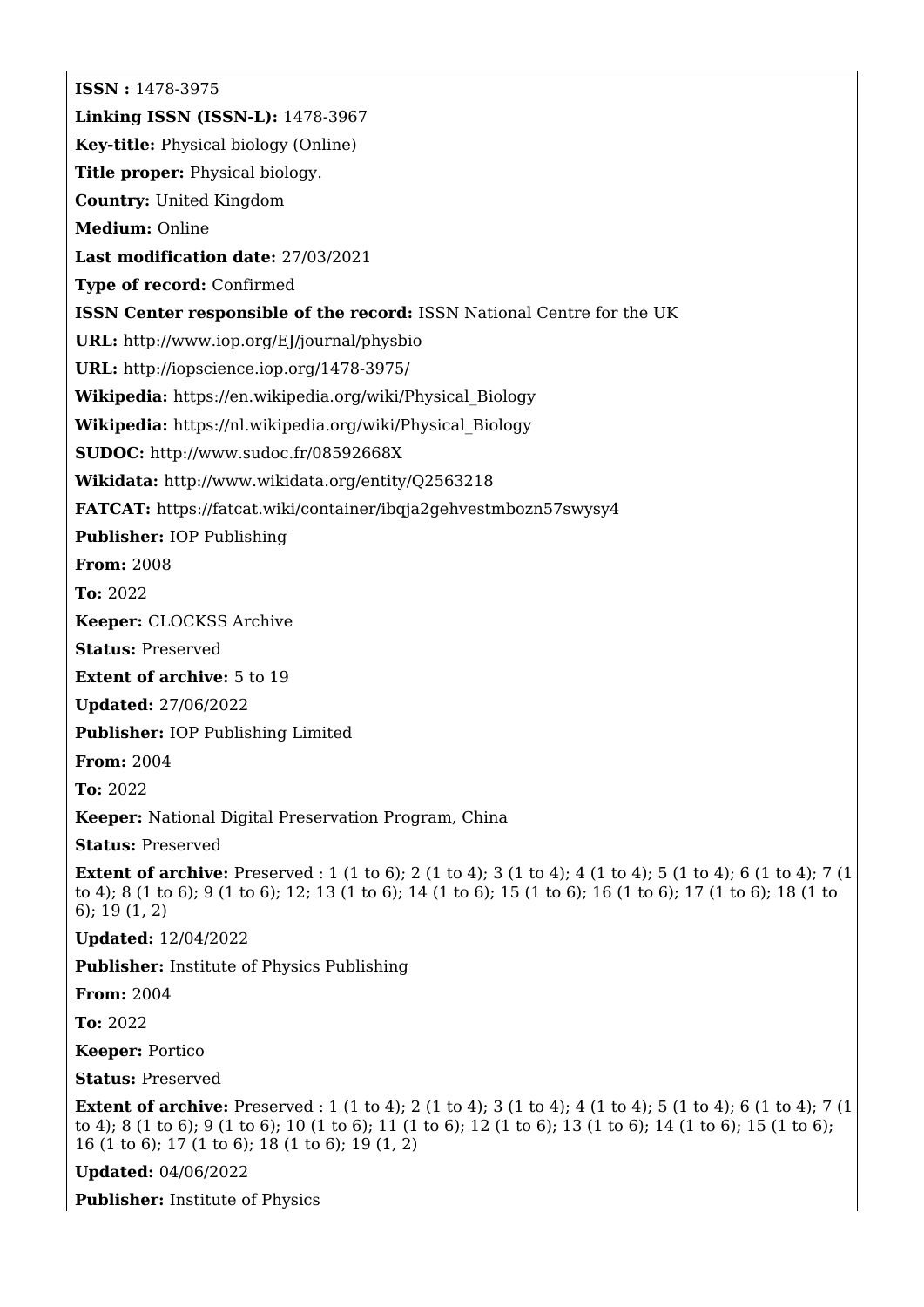**ISSN :** 1478-3975 **Linking ISSN (ISSN-L):** 1478-3967 **Key-title:** Physical biology (Online) **Title proper:** Physical biology. **Country:** United Kingdom **Medium:** Online **Last modification date:** 27/03/2021 **Type of record:** Confirmed **ISSN Center responsible of the record:** ISSN National Centre for the UK **URL:** <http://www.iop.org/EJ/journal/physbio> **URL:** <http://iopscience.iop.org/1478-3975/> **Wikipedia:** [https://en.wikipedia.org/wiki/Physical\\_Biology](https://en.wikipedia.org/wiki/Physical_Biology) **Wikipedia:** [https://nl.wikipedia.org/wiki/Physical\\_Biology](https://nl.wikipedia.org/wiki/Physical_Biology) **SUDOC:** <http://www.sudoc.fr/08592668X> **Wikidata:** <http://www.wikidata.org/entity/Q2563218> **FATCAT:** <https://fatcat.wiki/container/ibqja2gehvestmbozn57swysy4> **Publisher:** IOP Publishing **From:** 2008 **To:** 2022 **Keeper:** CLOCKSS Archive **Status:** Preserved **Extent of archive:** 5 to 19 **Updated:** 27/06/2022 **Publisher:** IOP Publishing Limited **From:** 2004 **To:** 2022 **Keeper:** National Digital Preservation Program, China **Status:** Preserved **Extent of archive:** Preserved : 1 (1 to 6); 2 (1 to 4); 3 (1 to 4); 4 (1 to 4); 5 (1 to 4); 6 (1 to 4); 7 (1 to 4); 8 (1 to 6); 9 (1 to 6); 12; 13 (1 to 6); 14 (1 to 6); 15 (1 to 6); 16 (1 to 6); 17 (1 to 6); 18 (1 to 6); 19 (1, 2) **Updated:** 12/04/2022 **Publisher:** Institute of Physics Publishing **From:** 2004 **To:** 2022 **Keeper:** Portico **Status:** Preserved **Extent of archive:** Preserved : 1 (1 to 4); 2 (1 to 4); 3 (1 to 4); 4 (1 to 4); 5 (1 to 4); 6 (1 to 4); 7 (1 to 4); 8 (1 to 6); 9 (1 to 6); 10 (1 to 6); 11 (1 to 6); 12 (1 to 6); 13 (1 to 6); 14 (1 to 6); 15 (1 to 6); 16 (1 to 6); 17 (1 to 6); 18 (1 to 6); 19 (1, 2) **Updated:** 04/06/2022 **Publisher:** Institute of Physics